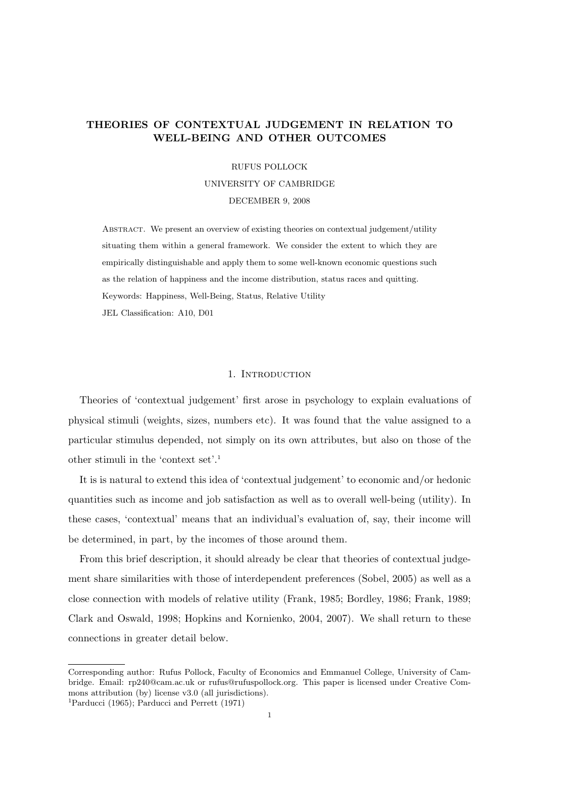# THEORIES OF CONTEXTUAL JUDGEMENT IN RELATION TO WELL-BEING AND OTHER OUTCOMES

# RUFUS POLLOCK UNIVERSITY OF CAMBRIDGE DECEMBER 9, 2008

Abstract. We present an overview of existing theories on contextual judgement/utility situating them within a general framework. We consider the extent to which they are empirically distinguishable and apply them to some well-known economic questions such as the relation of happiness and the income distribution, status races and quitting. Keywords: Happiness, Well-Being, Status, Relative Utility JEL Classification: A10, D01

#### 1. INTRODUCTION

Theories of 'contextual judgement' first arose in psychology to explain evaluations of physical stimuli (weights, sizes, numbers etc). It was found that the value assigned to a particular stimulus depended, not simply on its own attributes, but also on those of the other stimuli in the 'context set'.<sup>1</sup>

It is is natural to extend this idea of 'contextual judgement' to economic and/or hedonic quantities such as income and job satisfaction as well as to overall well-being (utility). In these cases, 'contextual' means that an individual's evaluation of, say, their income will be determined, in part, by the incomes of those around them.

From this brief description, it should already be clear that theories of contextual judgement share similarities with those of interdependent preferences (Sobel, 2005) as well as a close connection with models of relative utility (Frank, 1985; Bordley, 1986; Frank, 1989; Clark and Oswald, 1998; Hopkins and Kornienko, 2004, 2007). We shall return to these connections in greater detail below.

Corresponding author: Rufus Pollock, Faculty of Economics and Emmanuel College, University of Cambridge. Email: rp240@cam.ac.uk or rufus@rufuspollock.org. This paper is licensed under Creative Commons attribution (by) license v3.0 (all jurisdictions).

<sup>1</sup>Parducci (1965); Parducci and Perrett (1971)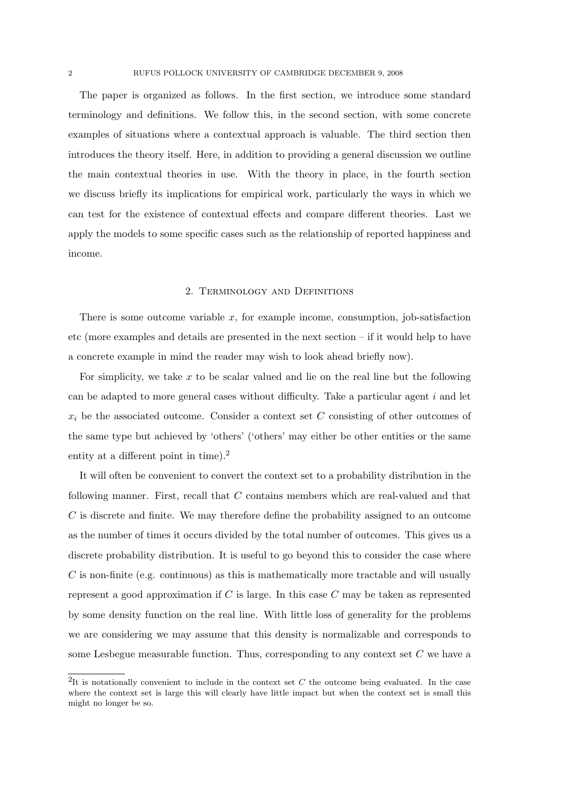The paper is organized as follows. In the first section, we introduce some standard terminology and definitions. We follow this, in the second section, with some concrete examples of situations where a contextual approach is valuable. The third section then introduces the theory itself. Here, in addition to providing a general discussion we outline the main contextual theories in use. With the theory in place, in the fourth section we discuss briefly its implications for empirical work, particularly the ways in which we can test for the existence of contextual effects and compare different theories. Last we apply the models to some specific cases such as the relationship of reported happiness and income.

#### 2. Terminology and Definitions

There is some outcome variable  $x$ , for example income, consumption, job-satisfaction etc (more examples and details are presented in the next section – if it would help to have a concrete example in mind the reader may wish to look ahead briefly now).

For simplicity, we take  $x$  to be scalar valued and lie on the real line but the following can be adapted to more general cases without difficulty. Take a particular agent  $i$  and let  $x_i$  be the associated outcome. Consider a context set C consisting of other outcomes of the same type but achieved by 'others' ('others' may either be other entities or the same entity at a different point in time).<sup>2</sup>

It will often be convenient to convert the context set to a probability distribution in the following manner. First, recall that C contains members which are real-valued and that C is discrete and finite. We may therefore define the probability assigned to an outcome as the number of times it occurs divided by the total number of outcomes. This gives us a discrete probability distribution. It is useful to go beyond this to consider the case where  $C$  is non-finite (e.g. continuous) as this is mathematically more tractable and will usually represent a good approximation if  $C$  is large. In this case  $C$  may be taken as represented by some density function on the real line. With little loss of generality for the problems we are considering we may assume that this density is normalizable and corresponds to some Lesbegue measurable function. Thus, corresponding to any context set  $C$  we have a

<sup>&</sup>lt;sup>2</sup>It is notationally convenient to include in the context set  $C$  the outcome being evaluated. In the case where the context set is large this will clearly have little impact but when the context set is small this might no longer be so.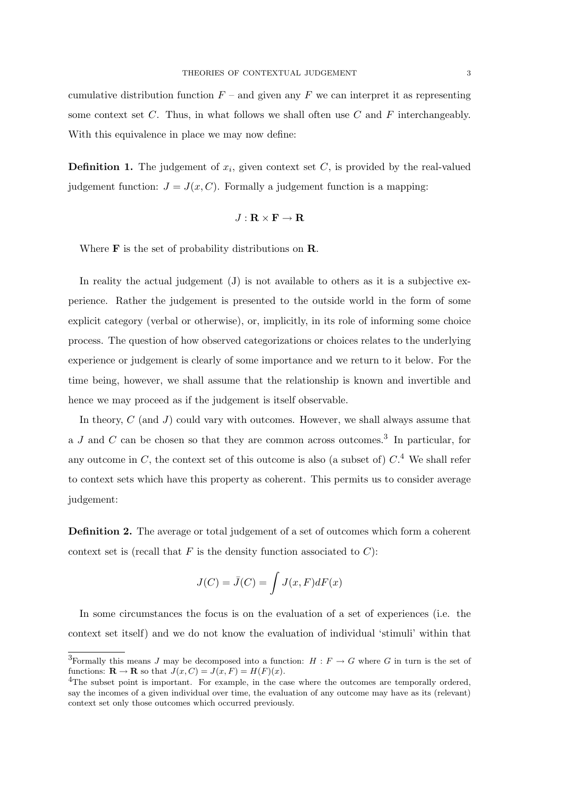cumulative distribution function  $F$  – and given any  $F$  we can interpret it as representing some context set  $C$ . Thus, in what follows we shall often use  $C$  and  $F$  interchangeably. With this equivalence in place we may now define:

**Definition 1.** The judgement of  $x_i$ , given context set  $C$ , is provided by the real-valued judgement function:  $J = J(x, C)$ . Formally a judgement function is a mapping:

$$
J: \mathbf{R} \times \mathbf{F} \to \mathbf{R}
$$

Where **F** is the set of probability distributions on **R**.

In reality the actual judgement  $(J)$  is not available to others as it is a subjective experience. Rather the judgement is presented to the outside world in the form of some explicit category (verbal or otherwise), or, implicitly, in its role of informing some choice process. The question of how observed categorizations or choices relates to the underlying experience or judgement is clearly of some importance and we return to it below. For the time being, however, we shall assume that the relationship is known and invertible and hence we may proceed as if the judgement is itself observable.

In theory, C (and J) could vary with outcomes. However, we shall always assume that a J and C can be chosen so that they are common across outcomes.<sup>3</sup> In particular, for any outcome in C, the context set of this outcome is also (a subset of)  $C<sup>4</sup>$  We shall refer to context sets which have this property as coherent. This permits us to consider average judgement:

Definition 2. The average or total judgement of a set of outcomes which form a coherent context set is (recall that  $F$  is the density function associated to  $C$ ):

$$
J(C) = \bar{J}(C) = \int J(x, F)dF(x)
$$

In some circumstances the focus is on the evaluation of a set of experiences (i.e. the context set itself) and we do not know the evaluation of individual 'stimuli' within that

<sup>&</sup>lt;sup>3</sup>Formally this means J may be decomposed into a function:  $H : F \to G$  where G in turn is the set of functions:  $\mathbf{R} \to \mathbf{R}$  so that  $J(x, C) = J(x, F) = H(F)(x)$ .

<sup>&</sup>lt;sup>4</sup>The subset point is important. For example, in the case where the outcomes are temporally ordered, say the incomes of a given individual over time, the evaluation of any outcome may have as its (relevant) context set only those outcomes which occurred previously.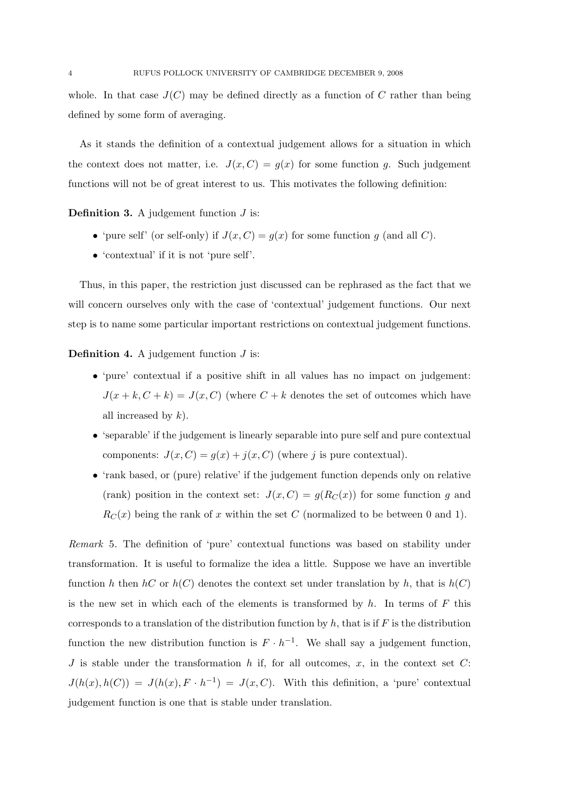whole. In that case  $J(C)$  may be defined directly as a function of C rather than being defined by some form of averaging.

As it stands the definition of a contextual judgement allows for a situation in which the context does not matter, i.e.  $J(x, C) = g(x)$  for some function g. Such judgement functions will not be of great interest to us. This motivates the following definition:

**Definition 3.** A judgement function  $J$  is:

- 'pure self' (or self-only) if  $J(x, C) = g(x)$  for some function g (and all C).
- 'contextual' if it is not 'pure self'.

Thus, in this paper, the restriction just discussed can be rephrased as the fact that we will concern ourselves only with the case of 'contextual' judgement functions. Our next step is to name some particular important restrictions on contextual judgement functions.

**Definition 4.** A judgement function  $J$  is:

- 'pure' contextual if a positive shift in all values has no impact on judgement:  $J(x + k, C + k) = J(x, C)$  (where  $C + k$  denotes the set of outcomes which have all increased by  $k$ ).
- 'separable' if the judgement is linearly separable into pure self and pure contextual components:  $J(x, C) = g(x) + j(x, C)$  (where j is pure contextual).
- 'rank based, or (pure) relative' if the judgement function depends only on relative (rank) position in the context set:  $J(x, C) = g(R_C(x))$  for some function g and  $R_C(x)$  being the rank of x within the set C (normalized to be between 0 and 1).

Remark 5. The definition of 'pure' contextual functions was based on stability under transformation. It is useful to formalize the idea a little. Suppose we have an invertible function h then hC or  $h(C)$  denotes the context set under translation by h, that is  $h(C)$ is the new set in which each of the elements is transformed by  $h$ . In terms of  $F$  this corresponds to a translation of the distribution function by  $h$ , that is if F is the distribution function the new distribution function is  $F \cdot h^{-1}$ . We shall say a judgement function, J is stable under the transformation  $h$  if, for all outcomes,  $x$ , in the context set  $C$ :  $J(h(x), h(C)) = J(h(x), F \cdot h^{-1}) = J(x, C)$ . With this definition, a 'pure' contextual judgement function is one that is stable under translation.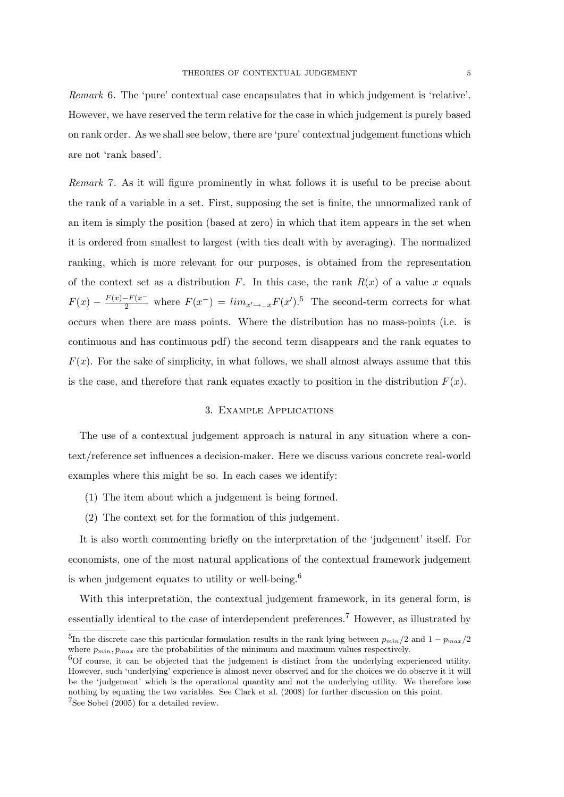Remark 6. The 'pure' contextual case encapsulates that in which judgement is 'relative'. However, we have reserved the term relative for the case in which judgement is purely based on rank order. As we shall see below, there are 'pure' contextual judgement functions which are not 'rank based'.

Remark 7. As it will figure prominently in what follows it is useful to be precise about the rank of a variable in a set. First, supposing the set is finite, the unnormalized rank of an item is simply the position (based at zero) in which that item appears in the set when it is ordered from smallest to largest (with ties dealt with by averaging). The normalized ranking, which is more relevant for our purposes, is obtained from the representation of the context set as a distribution F. In this case, the rank  $R(x)$  of a value x equals  $F(x) - \frac{F(x) - F(x^{-})}{2}$  where  $F(x^{-}) = \lim_{x \to -x} F(x')$ .<sup>5</sup> The second-term corrects for what occurs when there are mass points. Where the distribution has no mass-points (i.e. is continuous and has continuous pdf) the second term disappears and the rank equates to  $F(x)$ . For the sake of simplicity, in what follows, we shall almost always assume that this is the case, and therefore that rank equates exactly to position in the distribution  $F(x)$ .

## 3. Example Applications

The use of a contextual judgement approach is natural in any situation where a context/reference set influences a decision-maker. Here we discuss various concrete real-world examples where this might be so. In each cases we identify:

- (1) The item about which a judgement is being formed.
- (2) The context set for the formation of this judgement.

It is also worth commenting briefly on the interpretation of the 'judgement' itself. For economists, one of the most natural applications of the contextual framework judgement is when judgement equates to utility or well-being.<sup>6</sup>

With this interpretation, the contextual judgement framework, in its general form, is essentially identical to the case of interdependent preferences.<sup>7</sup> However, as illustrated by

<sup>&</sup>lt;sup>5</sup>In the discrete case this particular formulation results in the rank lying between  $p_{min}/2$  and  $1-p_{max}/2$ where  $p_{min}, p_{max}$  are the probabilities of the minimum and maximum values respectively.

 $6$ Of course, it can be objected that the judgement is distinct from the underlying experienced utility. However, such 'underlying' experience is almost never observed and for the choices we do observe it it will be the 'judgement' which is the operational quantity and not the underlying utility. We therefore lose nothing by equating the two variables. See Clark et al. (2008) for further discussion on this point. <sup>7</sup>See Sobel (2005) for a detailed review.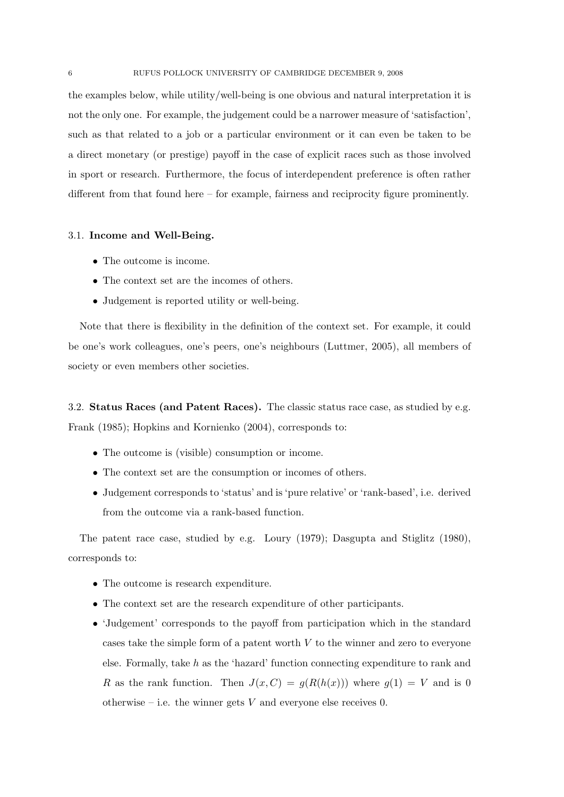the examples below, while utility/well-being is one obvious and natural interpretation it is not the only one. For example, the judgement could be a narrower measure of 'satisfaction', such as that related to a job or a particular environment or it can even be taken to be a direct monetary (or prestige) payoff in the case of explicit races such as those involved in sport or research. Furthermore, the focus of interdependent preference is often rather different from that found here – for example, fairness and reciprocity figure prominently.

# 3.1. Income and Well-Being.

- The outcome is income.
- The context set are the incomes of others.
- Judgement is reported utility or well-being.

Note that there is flexibility in the definition of the context set. For example, it could be one's work colleagues, one's peers, one's neighbours (Luttmer, 2005), all members of society or even members other societies.

3.2. Status Races (and Patent Races). The classic status race case, as studied by e.g. Frank (1985); Hopkins and Kornienko (2004), corresponds to:

- The outcome is (visible) consumption or income.
- The context set are the consumption or incomes of others.
- Judgement corresponds to 'status' and is 'pure relative' or 'rank-based', i.e. derived from the outcome via a rank-based function.

The patent race case, studied by e.g. Loury (1979); Dasgupta and Stiglitz (1980), corresponds to:

- The outcome is research expenditure.
- The context set are the research expenditure of other participants.
- 'Judgement' corresponds to the payoff from participation which in the standard cases take the simple form of a patent worth  $V$  to the winner and zero to everyone else. Formally, take h as the 'hazard' function connecting expenditure to rank and R as the rank function. Then  $J(x, C) = g(R(h(x)))$  where  $g(1) = V$  and is 0 otherwise – i.e. the winner gets  $V$  and everyone else receives 0.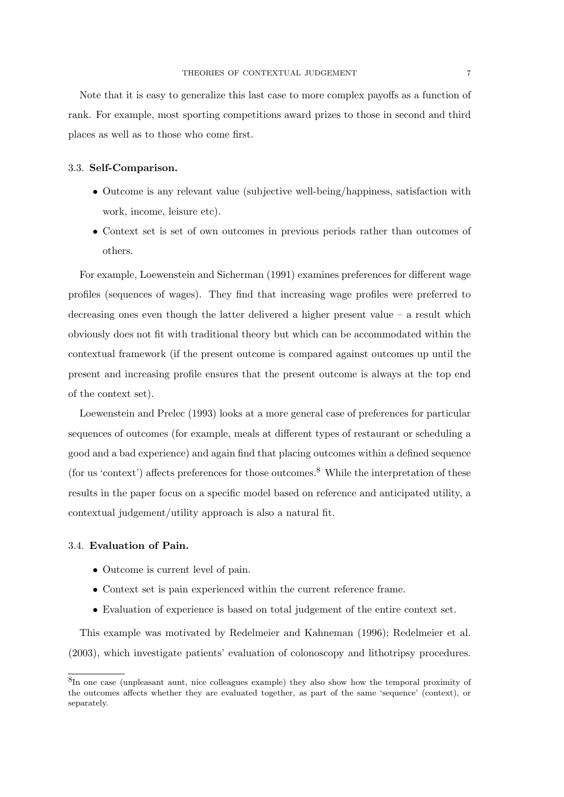Note that it is easy to generalize this last case to more complex payoffs as a function of rank. For example, most sporting competitions award prizes to those in second and third places as well as to those who come first.

#### 3.3. Self-Comparison.

- Outcome is any relevant value (subjective well-being/happiness, satisfaction with work, income, leisure etc).
- Context set is set of own outcomes in previous periods rather than outcomes of others.

For example, Loewenstein and Sicherman (1991) examines preferences for different wage profiles (sequences of wages). They find that increasing wage profiles were preferred to decreasing ones even though the latter delivered a higher present value – a result which obviously does not fit with traditional theory but which can be accommodated within the contextual framework (if the present outcome is compared against outcomes up until the present and increasing profile ensures that the present outcome is always at the top end of the context set).

Loewenstein and Prelec (1993) looks at a more general case of preferences for particular sequences of outcomes (for example, meals at different types of restaurant or scheduling a good and a bad experience) and again find that placing outcomes within a defined sequence (for us 'context') affects preferences for those outcomes.<sup>8</sup> While the interpretation of these results in the paper focus on a specific model based on reference and anticipated utility, a contextual judgement/utility approach is also a natural fit.

#### 3.4. Evaluation of Pain.

- Outcome is current level of pain.
- Context set is pain experienced within the current reference frame.
- Evaluation of experience is based on total judgement of the entire context set.

This example was motivated by Redelmeier and Kahneman (1996); Redelmeier et al. (2003), which investigate patients' evaluation of colonoscopy and lithotripsy procedures.

<sup>&</sup>lt;sup>8</sup>In one case (unpleasant aunt, nice colleagues example) they also show how the temporal proximity of the outcomes affects whether they are evaluated together, as part of the same 'sequence' (context), or separately.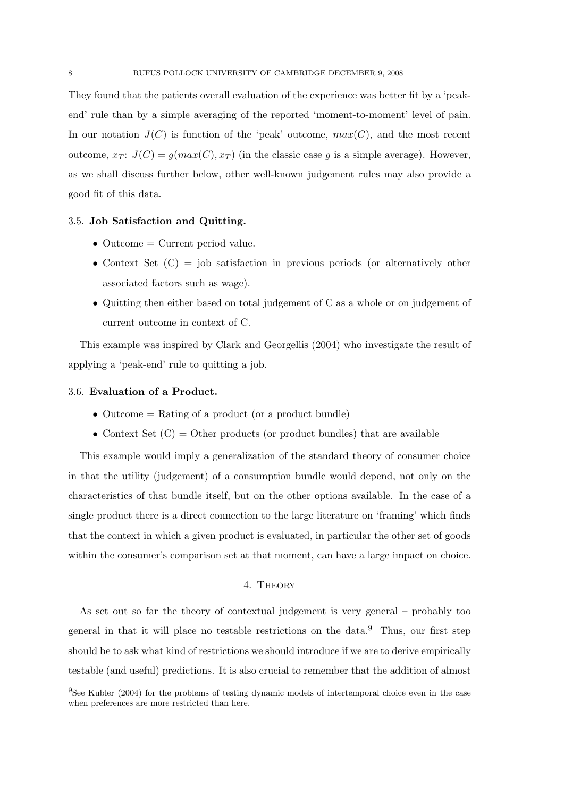They found that the patients overall evaluation of the experience was better fit by a 'peakend' rule than by a simple averaging of the reported 'moment-to-moment' level of pain. In our notation  $J(C)$  is function of the 'peak' outcome,  $max(C)$ , and the most recent outcome,  $x_T$ :  $J(C) = g(max(C), x_T)$  (in the classic case g is a simple average). However, as we shall discuss further below, other well-known judgement rules may also provide a good fit of this data.

#### 3.5. Job Satisfaction and Quitting.

- Outcome = Current period value.
- Context Set  $(C)$  = job satisfaction in previous periods (or alternatively other associated factors such as wage).
- Quitting then either based on total judgement of C as a whole or on judgement of current outcome in context of C.

This example was inspired by Clark and Georgellis (2004) who investigate the result of applying a 'peak-end' rule to quitting a job.

### 3.6. Evaluation of a Product.

- Outcome  $=$  Rating of a product (or a product bundle)
- Context Set  $(C) =$  Other products (or product bundles) that are available

This example would imply a generalization of the standard theory of consumer choice in that the utility (judgement) of a consumption bundle would depend, not only on the characteristics of that bundle itself, but on the other options available. In the case of a single product there is a direct connection to the large literature on 'framing' which finds that the context in which a given product is evaluated, in particular the other set of goods within the consumer's comparison set at that moment, can have a large impact on choice.

# 4. Theory

As set out so far the theory of contextual judgement is very general – probably too general in that it will place no testable restrictions on the data.<sup>9</sup> Thus, our first step should be to ask what kind of restrictions we should introduce if we are to derive empirically testable (and useful) predictions. It is also crucial to remember that the addition of almost

<sup>&</sup>lt;sup>9</sup>See Kubler (2004) for the problems of testing dynamic models of intertemporal choice even in the case when preferences are more restricted than here.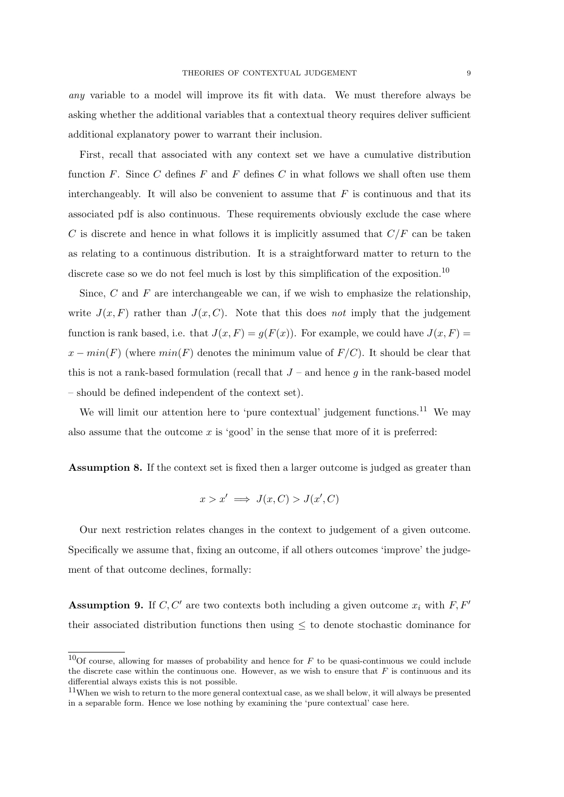any variable to a model will improve its fit with data. We must therefore always be asking whether the additional variables that a contextual theory requires deliver sufficient additional explanatory power to warrant their inclusion.

First, recall that associated with any context set we have a cumulative distribution function F. Since C defines F and F defines C in what follows we shall often use them interchangeably. It will also be convenient to assume that  $F$  is continuous and that its associated pdf is also continuous. These requirements obviously exclude the case where C is discrete and hence in what follows it is implicitly assumed that  $C/F$  can be taken as relating to a continuous distribution. It is a straightforward matter to return to the discrete case so we do not feel much is lost by this simplification of the exposition.<sup>10</sup>

Since, C and F are interchangeable we can, if we wish to emphasize the relationship, write  $J(x, F)$  rather than  $J(x, C)$ . Note that this does not imply that the judgement function is rank based, i.e. that  $J(x, F) = g(F(x))$ . For example, we could have  $J(x, F) =$  $x - min(F)$  (where  $min(F)$  denotes the minimum value of  $F/C$ ). It should be clear that this is not a rank-based formulation (recall that  $J$  – and hence g in the rank-based model – should be defined independent of the context set).

We will limit our attention here to 'pure contextual' judgement functions.<sup>11</sup> We may also assume that the outcome  $x$  is 'good' in the sense that more of it is preferred:

Assumption 8. If the context set is fixed then a larger outcome is judged as greater than

$$
x > x' \implies J(x, C) > J(x', C)
$$

Our next restriction relates changes in the context to judgement of a given outcome. Specifically we assume that, fixing an outcome, if all others outcomes 'improve' the judgement of that outcome declines, formally:

**Assumption 9.** If C, C' are two contexts both including a given outcome  $x_i$  with F, F' their associated distribution functions then using  $\leq$  to denote stochastic dominance for

<sup>&</sup>lt;sup>10</sup>Of course, allowing for masses of probability and hence for F to be quasi-continuous we could include the discrete case within the continuous one. However, as we wish to ensure that  $F$  is continuous and its differential always exists this is not possible.

<sup>&</sup>lt;sup>11</sup>When we wish to return to the more general contextual case, as we shall below, it will always be presented in a separable form. Hence we lose nothing by examining the 'pure contextual' case here.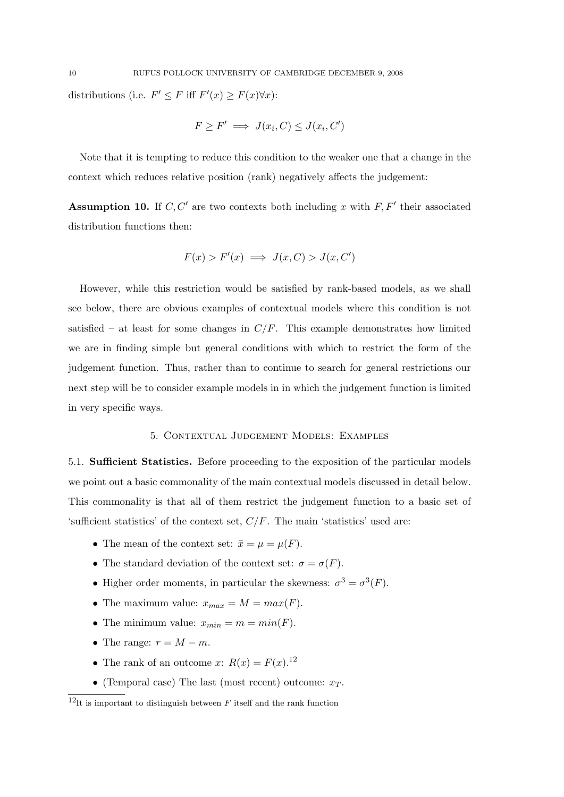$$
F \ge F' \implies J(x_i, C) \le J(x_i, C')
$$

Note that it is tempting to reduce this condition to the weaker one that a change in the context which reduces relative position (rank) negatively affects the judgement:

**Assumption 10.** If  $C, C'$  are two contexts both including x with  $F, F'$  their associated distribution functions then:

$$
F(x) > F'(x) \implies J(x, C) > J(x, C')
$$

However, while this restriction would be satisfied by rank-based models, as we shall see below, there are obvious examples of contextual models where this condition is not satisfied – at least for some changes in  $C/F$ . This example demonstrates how limited we are in finding simple but general conditions with which to restrict the form of the judgement function. Thus, rather than to continue to search for general restrictions our next step will be to consider example models in in which the judgement function is limited in very specific ways.

### 5. Contextual Judgement Models: Examples

5.1. Sufficient Statistics. Before proceeding to the exposition of the particular models we point out a basic commonality of the main contextual models discussed in detail below. This commonality is that all of them restrict the judgement function to a basic set of 'sufficient statistics' of the context set,  $C/F$ . The main 'statistics' used are:

- The mean of the context set:  $\bar{x} = \mu = \mu(F)$ .
- The standard deviation of the context set:  $\sigma = \sigma(F)$ .
- Higher order moments, in particular the skewness:  $\sigma^3 = \sigma^3(F)$ .
- The maximum value:  $x_{max} = M = max(F)$ .
- The minimum value:  $x_{min} = m = min(F)$ .
- The range:  $r = M m$ .
- The rank of an outcome x:  $R(x) = F(x).$ <sup>12</sup>
- (Temporal case) The last (most recent) outcome:  $x_T$ .

 $12$ It is important to distinguish between F itself and the rank function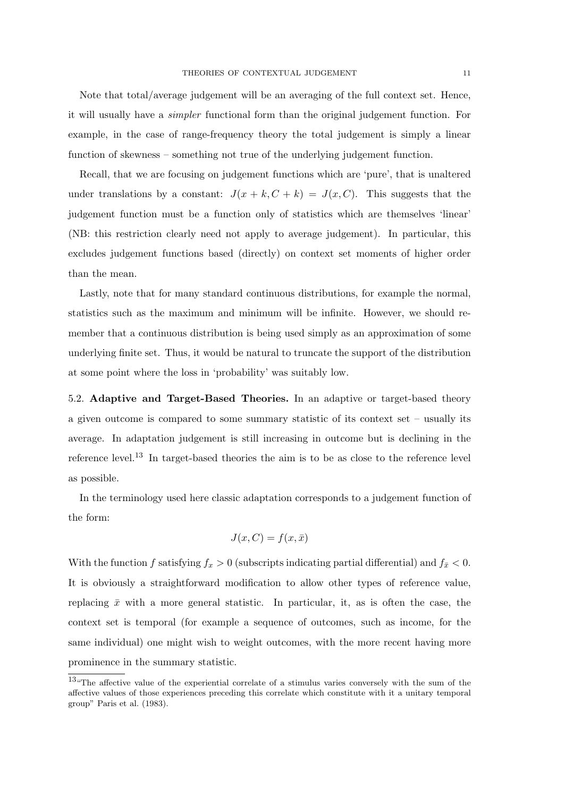Note that total/average judgement will be an averaging of the full context set. Hence, it will usually have a simpler functional form than the original judgement function. For example, in the case of range-frequency theory the total judgement is simply a linear function of skewness – something not true of the underlying judgement function.

Recall, that we are focusing on judgement functions which are 'pure', that is unaltered under translations by a constant:  $J(x + k, C + k) = J(x, C)$ . This suggests that the judgement function must be a function only of statistics which are themselves 'linear' (NB: this restriction clearly need not apply to average judgement). In particular, this excludes judgement functions based (directly) on context set moments of higher order than the mean.

Lastly, note that for many standard continuous distributions, for example the normal, statistics such as the maximum and minimum will be infinite. However, we should remember that a continuous distribution is being used simply as an approximation of some underlying finite set. Thus, it would be natural to truncate the support of the distribution at some point where the loss in 'probability' was suitably low.

5.2. Adaptive and Target-Based Theories. In an adaptive or target-based theory a given outcome is compared to some summary statistic of its context set – usually its average. In adaptation judgement is still increasing in outcome but is declining in the reference level.<sup>13</sup> In target-based theories the aim is to be as close to the reference level as possible.

In the terminology used here classic adaptation corresponds to a judgement function of the form:

$$
J(x, C) = f(x, \bar{x})
$$

With the function f satisfying  $f_x > 0$  (subscripts indicating partial differential) and  $f_{\bar{x}} < 0$ . It is obviously a straightforward modification to allow other types of reference value, replacing  $\bar{x}$  with a more general statistic. In particular, it, as is often the case, the context set is temporal (for example a sequence of outcomes, such as income, for the same individual) one might wish to weight outcomes, with the more recent having more prominence in the summary statistic.

<sup>13</sup>"The affective value of the experiential correlate of a stimulus varies conversely with the sum of the affective values of those experiences preceding this correlate which constitute with it a unitary temporal group" Paris et al. (1983).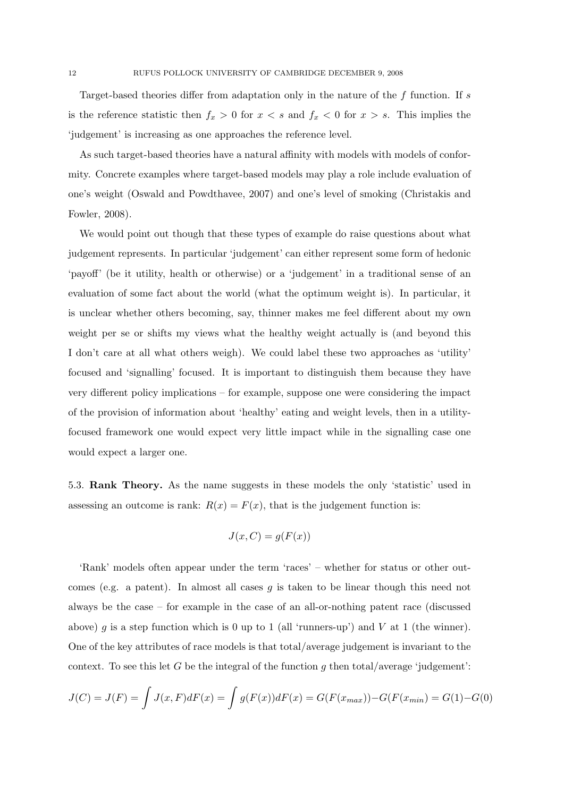Target-based theories differ from adaptation only in the nature of the f function. If s is the reference statistic then  $f_x > 0$  for  $x < s$  and  $f_x < 0$  for  $x > s$ . This implies the 'judgement' is increasing as one approaches the reference level.

As such target-based theories have a natural affinity with models with models of conformity. Concrete examples where target-based models may play a role include evaluation of one's weight (Oswald and Powdthavee, 2007) and one's level of smoking (Christakis and Fowler, 2008).

We would point out though that these types of example do raise questions about what judgement represents. In particular 'judgement' can either represent some form of hedonic 'payoff' (be it utility, health or otherwise) or a 'judgement' in a traditional sense of an evaluation of some fact about the world (what the optimum weight is). In particular, it is unclear whether others becoming, say, thinner makes me feel different about my own weight per se or shifts my views what the healthy weight actually is (and beyond this I don't care at all what others weigh). We could label these two approaches as 'utility' focused and 'signalling' focused. It is important to distinguish them because they have very different policy implications – for example, suppose one were considering the impact of the provision of information about 'healthy' eating and weight levels, then in a utilityfocused framework one would expect very little impact while in the signalling case one would expect a larger one.

5.3. Rank Theory. As the name suggests in these models the only 'statistic' used in assessing an outcome is rank:  $R(x) = F(x)$ , that is the judgement function is:

$$
J(x, C) = g(F(x))
$$

'Rank' models often appear under the term 'races' – whether for status or other outcomes (e.g. a patent). In almost all cases  $g$  is taken to be linear though this need not always be the case – for example in the case of an all-or-nothing patent race (discussed above) g is a step function which is 0 up to 1 (all 'runners-up') and V at 1 (the winner). One of the key attributes of race models is that total/average judgement is invariant to the context. To see this let G be the integral of the function g then total/average 'judgement':

$$
J(C) = J(F) = \int J(x, F)dF(x) = \int g(F(x))dF(x) = G(F(x_{max})) - G(F(x_{min})) = G(1) - G(0)
$$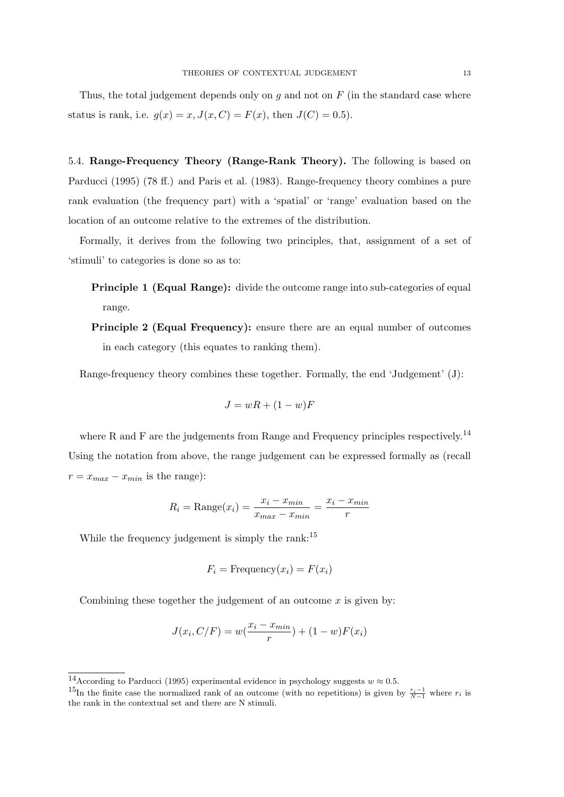Thus, the total judgement depends only on  $g$  and not on  $F$  (in the standard case where status is rank, i.e.  $g(x) = x, J(x, C) = F(x)$ , then  $J(C) = 0.5$ .

5.4. Range-Frequency Theory (Range-Rank Theory). The following is based on Parducci (1995) (78 ff.) and Paris et al. (1983). Range-frequency theory combines a pure rank evaluation (the frequency part) with a 'spatial' or 'range' evaluation based on the location of an outcome relative to the extremes of the distribution.

Formally, it derives from the following two principles, that, assignment of a set of 'stimuli' to categories is done so as to:

- Principle 1 (Equal Range): divide the outcome range into sub-categories of equal range.
- Principle 2 (Equal Frequency): ensure there are an equal number of outcomes in each category (this equates to ranking them).

Range-frequency theory combines these together. Formally, the end 'Judgement' (J):

$$
J = wR + (1 - w)F
$$

where R and F are the judgements from Range and Frequency principles respectively.<sup>14</sup> Using the notation from above, the range judgement can be expressed formally as (recall  $r = x_{max} - x_{min}$  is the range):

$$
R_i = \text{Range}(x_i) = \frac{x_i - x_{min}}{x_{max} - x_{min}} = \frac{x_i - x_{min}}{r}
$$

While the frequency judgement is simply the rank:<sup>15</sup>

$$
F_i = \text{Frequency}(x_i) = F(x_i)
$$

Combining these together the judgement of an outcome  $x$  is given by:

$$
J(x_i, C/F) = w(\frac{x_i - x_{min}}{r}) + (1 - w)F(x_i)
$$

<sup>&</sup>lt;sup>14</sup>According to Parducci (1995) experimental evidence in psychology suggests  $w \approx 0.5$ .

<sup>&</sup>lt;sup>15</sup>In the finite case the normalized rank of an outcome (with no repetitions) is given by  $\frac{r_i-1}{N-1}$  where  $r_i$  is the rank in the contextual set and there are N stimuli.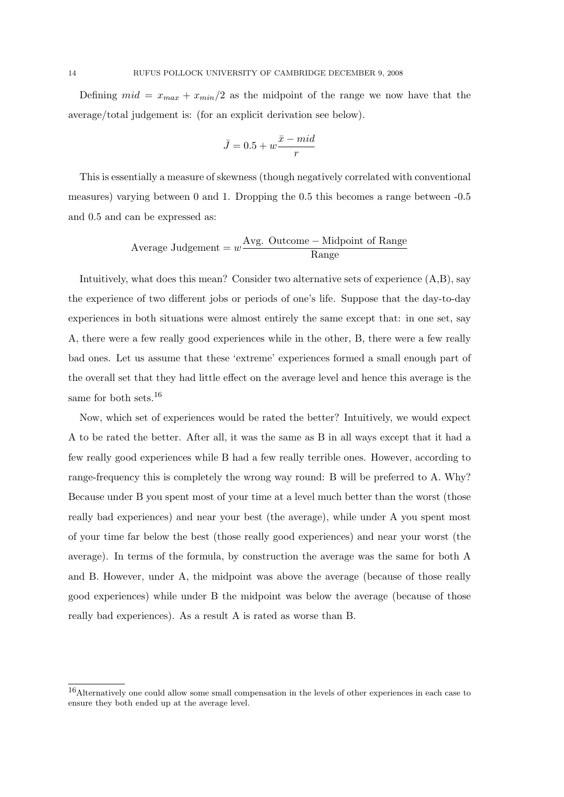Defining  $mid = x_{max} + x_{min}/2$  as the midpoint of the range we now have that the average/total judgement is: (for an explicit derivation see below).

$$
\bar{J} = 0.5 + w\frac{\bar{x} - mid}{r}
$$

This is essentially a measure of skewness (though negatively correlated with conventional measures) varying between 0 and 1. Dropping the 0.5 this becomes a range between -0.5 and 0.5 and can be expressed as:

Average Judgement = 
$$
w \frac{\text{Avg. Outcome} - \text{Midpoint of Range}}{\text{Range}}
$$

Intuitively, what does this mean? Consider two alternative sets of experience (A,B), say the experience of two different jobs or periods of one's life. Suppose that the day-to-day experiences in both situations were almost entirely the same except that: in one set, say A, there were a few really good experiences while in the other, B, there were a few really bad ones. Let us assume that these 'extreme' experiences formed a small enough part of the overall set that they had little effect on the average level and hence this average is the same for both sets.<sup>16</sup>

Now, which set of experiences would be rated the better? Intuitively, we would expect A to be rated the better. After all, it was the same as B in all ways except that it had a few really good experiences while B had a few really terrible ones. However, according to range-frequency this is completely the wrong way round: B will be preferred to A. Why? Because under B you spent most of your time at a level much better than the worst (those really bad experiences) and near your best (the average), while under A you spent most of your time far below the best (those really good experiences) and near your worst (the average). In terms of the formula, by construction the average was the same for both A and B. However, under A, the midpoint was above the average (because of those really good experiences) while under B the midpoint was below the average (because of those really bad experiences). As a result A is rated as worse than B.

<sup>16</sup>Alternatively one could allow some small compensation in the levels of other experiences in each case to ensure they both ended up at the average level.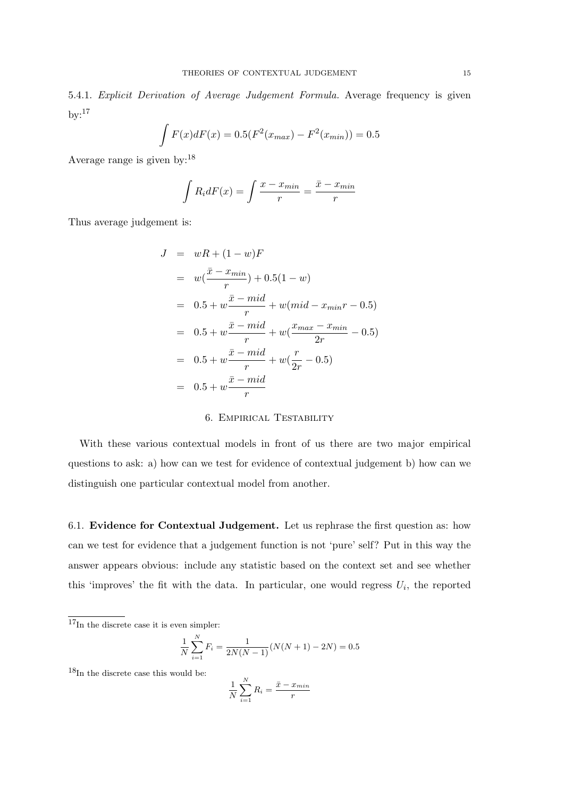5.4.1. Explicit Derivation of Average Judgement Formula. Average frequency is given  $by:$ <sup>17</sup>

$$
\int F(x)dF(x) = 0.5(F^{2}(x_{max}) - F^{2}(x_{min})) = 0.5
$$

Average range is given by:<sup>18</sup>

$$
\int R_i dF(x) = \int \frac{x - x_{min}}{r} = \frac{\bar{x} - x_{min}}{r}
$$

Thus average judgement is:

$$
J = wR + (1 - w)F
$$
  
=  $w(\frac{\bar{x} - x_{min}}{r}) + 0.5(1 - w)$   
=  $0.5 + w\frac{\bar{x} - mid}{r} + w(mid - x_{min}r - 0.5)$   
=  $0.5 + w\frac{\bar{x} - mid}{r} + w(\frac{x_{max} - x_{min}}{2r} - 0.5)$   
=  $0.5 + w\frac{\bar{x} - mid}{r} + w(\frac{r}{2r} - 0.5)$   
=  $0.5 + w\frac{\bar{x} - mid}{r}$ 

## 6. Empirical Testability

With these various contextual models in front of us there are two major empirical questions to ask: a) how can we test for evidence of contextual judgement b) how can we distinguish one particular contextual model from another.

6.1. Evidence for Contextual Judgement. Let us rephrase the first question as: how can we test for evidence that a judgement function is not 'pure' self? Put in this way the answer appears obvious: include any statistic based on the context set and see whether this 'improves' the fit with the data. In particular, one would regress  $U_i$ , the reported

 $17<sub>In</sub>$  the discrete case it is even simpler:

$$
\frac{1}{N} \sum_{i=1}^{N} F_i = \frac{1}{2N(N-1)} (N(N+1) - 2N) = 0.5
$$

 $18$ In the discrete case this would be:

$$
\frac{1}{N} \sum_{i=1}^{N} R_i = \frac{\bar{x} - x_{min}}{r}
$$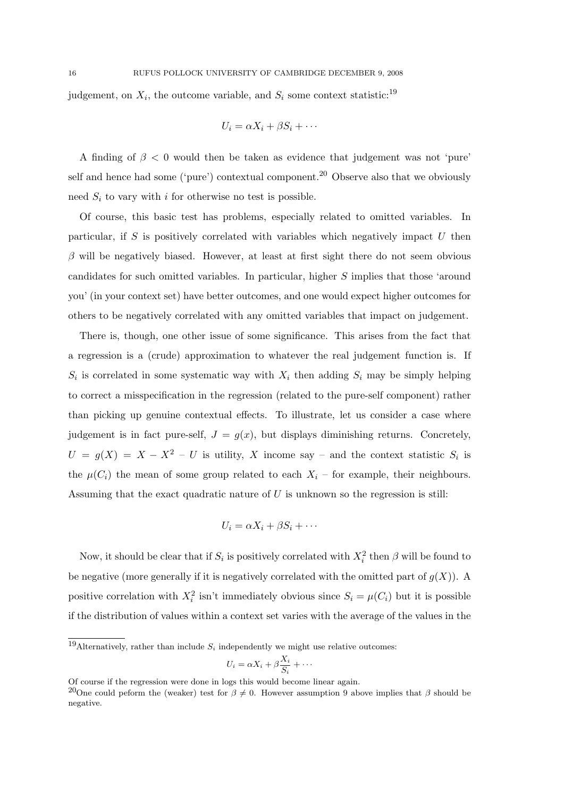judgement, on  $X_i$ , the outcome variable, and  $S_i$  some context statistic:<sup>19</sup>

$$
U_i = \alpha X_i + \beta S_i + \cdots
$$

A finding of  $\beta$  < 0 would then be taken as evidence that judgement was not 'pure' self and hence had some ('pure') contextual component.<sup>20</sup> Observe also that we obviously need  $S_i$  to vary with i for otherwise no test is possible.

Of course, this basic test has problems, especially related to omitted variables. In particular, if S is positively correlated with variables which negatively impact  $U$  then  $\beta$  will be negatively biased. However, at least at first sight there do not seem obvious candidates for such omitted variables. In particular, higher S implies that those 'around you' (in your context set) have better outcomes, and one would expect higher outcomes for others to be negatively correlated with any omitted variables that impact on judgement.

There is, though, one other issue of some significance. This arises from the fact that a regression is a (crude) approximation to whatever the real judgement function is. If  $S_i$  is correlated in some systematic way with  $X_i$  then adding  $S_i$  may be simply helping to correct a misspecification in the regression (related to the pure-self component) rather than picking up genuine contextual effects. To illustrate, let us consider a case where judgement is in fact pure-self,  $J = g(x)$ , but displays diminishing returns. Concretely,  $U = g(X) = X - X^2 - U$  is utility, X income say – and the context statistic  $S_i$  is the  $\mu(C_i)$  the mean of some group related to each  $X_i$  – for example, their neighbours. Assuming that the exact quadratic nature of  $U$  is unknown so the regression is still:

$$
U_i = \alpha X_i + \beta S_i + \cdots
$$

Now, it should be clear that if  $S_i$  is positively correlated with  $X_i^2$  then  $\beta$  will be found to be negative (more generally if it is negatively correlated with the omitted part of  $g(X)$ ). A positive correlation with  $X_i^2$  isn't immediately obvious since  $S_i = \mu(C_i)$  but it is possible if the distribution of values within a context set varies with the average of the values in the

$$
U_i = \alpha X_i + \beta \frac{X_i}{S_i} + \cdots
$$

<sup>&</sup>lt;sup>19</sup>Alternatively, rather than include  $S_i$  independently we might use relative outcomes:

Of course if the regression were done in logs this would become linear again.

<sup>&</sup>lt;sup>20</sup>One could peform the (weaker) test for  $\beta \neq 0$ . However assumption 9 above implies that  $\beta$  should be negative.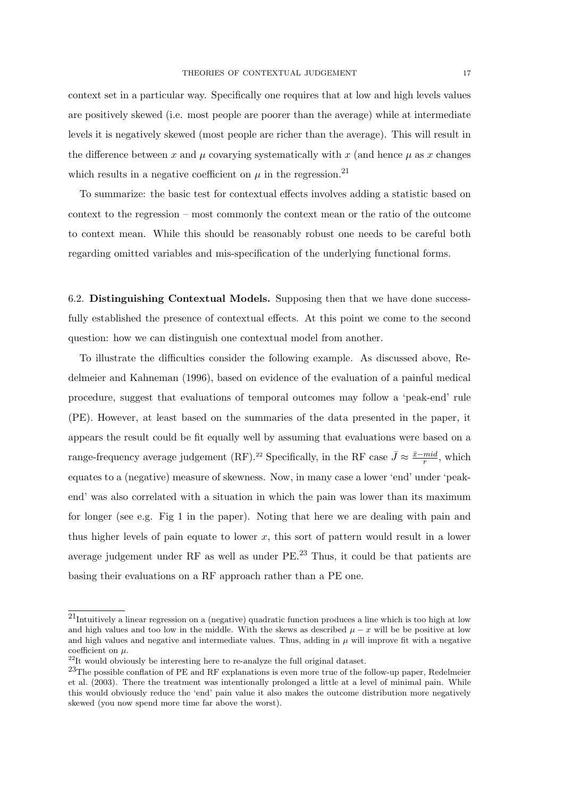context set in a particular way. Specifically one requires that at low and high levels values are positively skewed (i.e. most people are poorer than the average) while at intermediate levels it is negatively skewed (most people are richer than the average). This will result in the difference between x and  $\mu$  covarying systematically with x (and hence  $\mu$  as x changes which results in a negative coefficient on  $\mu$  in the regression.<sup>21</sup>

To summarize: the basic test for contextual effects involves adding a statistic based on context to the regression – most commonly the context mean or the ratio of the outcome to context mean. While this should be reasonably robust one needs to be careful both regarding omitted variables and mis-specification of the underlying functional forms.

6.2. Distinguishing Contextual Models. Supposing then that we have done successfully established the presence of contextual effects. At this point we come to the second question: how we can distinguish one contextual model from another.

To illustrate the difficulties consider the following example. As discussed above, Redelmeier and Kahneman (1996), based on evidence of the evaluation of a painful medical procedure, suggest that evaluations of temporal outcomes may follow a 'peak-end' rule (PE). However, at least based on the summaries of the data presented in the paper, it appears the result could be fit equally well by assuming that evaluations were based on a range-frequency average judgement (RF).<sup>22</sup> Specifically, in the RF case  $\bar{J} \approx \frac{\bar{x}-mid}{r}$  $\frac{mid}{r}$ , which equates to a (negative) measure of skewness. Now, in many case a lower 'end' under 'peakend' was also correlated with a situation in which the pain was lower than its maximum for longer (see e.g. Fig 1 in the paper). Noting that here we are dealing with pain and thus higher levels of pain equate to lower  $x$ , this sort of pattern would result in a lower average judgement under RF as well as under PE.<sup>23</sup> Thus, it could be that patients are basing their evaluations on a RF approach rather than a PE one.

<sup>21</sup>Intuitively a linear regression on a (negative) quadratic function produces a line which is too high at low and high values and too low in the middle. With the skews as described  $\mu - x$  will be be positive at low and high values and negative and intermediate values. Thus, adding in  $\mu$  will improve fit with a negative coefficient on  $\mu.$ 

<sup>&</sup>lt;sup>22</sup>It would obviously be interesting here to re-analyze the full original dataset.

<sup>23</sup>The possible conflation of PE and RF explanations is even more true of the follow-up paper, Redelmeier et al. (2003). There the treatment was intentionally prolonged a little at a level of minimal pain. While this would obviously reduce the 'end' pain value it also makes the outcome distribution more negatively skewed (you now spend more time far above the worst).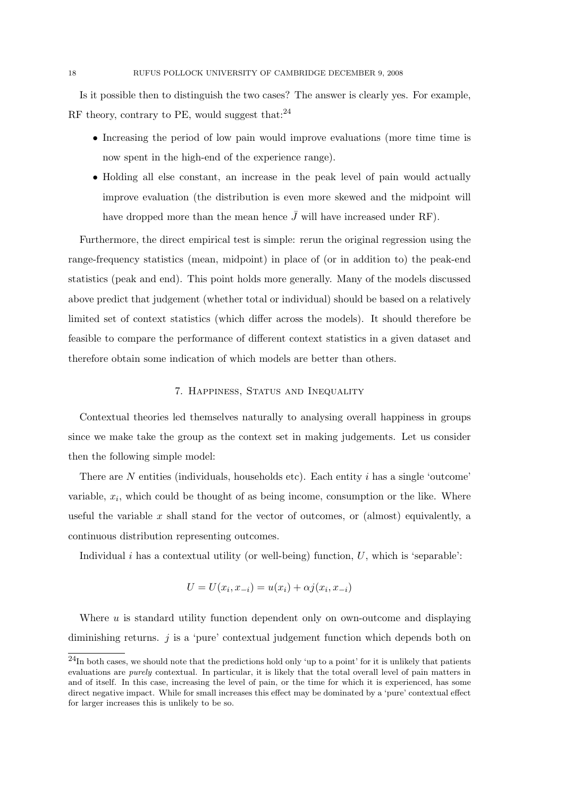Is it possible then to distinguish the two cases? The answer is clearly yes. For example, RF theory, contrary to PE, would suggest that: $^{24}$ 

- Increasing the period of low pain would improve evaluations (more time time is now spent in the high-end of the experience range).
- Holding all else constant, an increase in the peak level of pain would actually improve evaluation (the distribution is even more skewed and the midpoint will have dropped more than the mean hence  $\bar{J}$  will have increased under RF).

Furthermore, the direct empirical test is simple: rerun the original regression using the range-frequency statistics (mean, midpoint) in place of (or in addition to) the peak-end statistics (peak and end). This point holds more generally. Many of the models discussed above predict that judgement (whether total or individual) should be based on a relatively limited set of context statistics (which differ across the models). It should therefore be feasible to compare the performance of different context statistics in a given dataset and therefore obtain some indication of which models are better than others.

### 7. Happiness, Status and Inequality

Contextual theories led themselves naturally to analysing overall happiness in groups since we make take the group as the context set in making judgements. Let us consider then the following simple model:

There are  $N$  entities (individuals, households etc). Each entity  $i$  has a single 'outcome' variable,  $x_i$ , which could be thought of as being income, consumption or the like. Where useful the variable  $x$  shall stand for the vector of outcomes, or (almost) equivalently, a continuous distribution representing outcomes.

Individual  $i$  has a contextual utility (or well-being) function,  $U$ , which is 'separable':

$$
U = U(x_i, x_{-i}) = u(x_i) + \alpha j(x_i, x_{-i})
$$

Where  $u$  is standard utility function dependent only on own-outcome and displaying diminishing returns.  $j$  is a 'pure' contextual judgement function which depends both on

<sup>24</sup>In both cases, we should note that the predictions hold only 'up to a point' for it is unlikely that patients evaluations are purely contextual. In particular, it is likely that the total overall level of pain matters in and of itself. In this case, increasing the level of pain, or the time for which it is experienced, has some direct negative impact. While for small increases this effect may be dominated by a 'pure' contextual effect for larger increases this is unlikely to be so.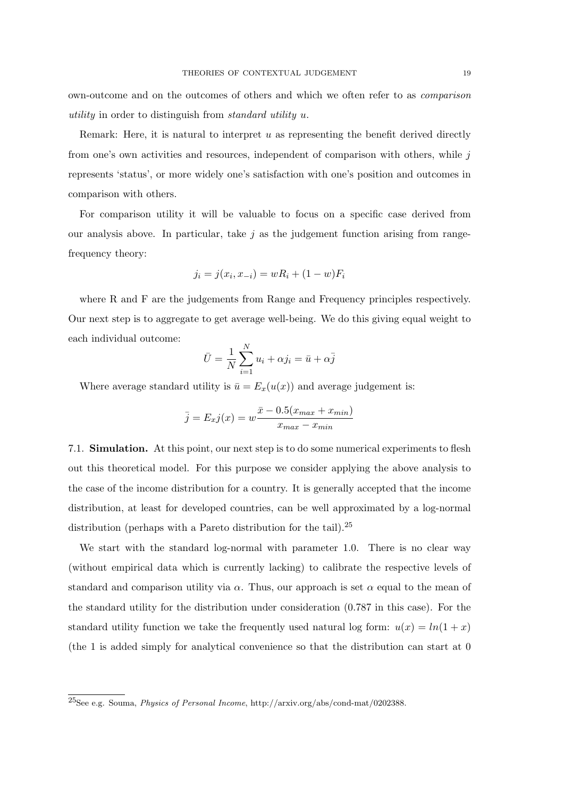own-outcome and on the outcomes of others and which we often refer to as comparison utility in order to distinguish from standard utility u.

Remark: Here, it is natural to interpret  $u$  as representing the benefit derived directly from one's own activities and resources, independent of comparison with others, while  $j$ represents 'status', or more widely one's satisfaction with one's position and outcomes in comparison with others.

For comparison utility it will be valuable to focus on a specific case derived from our analysis above. In particular, take  $j$  as the judgement function arising from rangefrequency theory:

$$
j_i = j(x_i, x_{-i}) = wR_i + (1 - w)F_i
$$

where R and F are the judgements from Range and Frequency principles respectively. Our next step is to aggregate to get average well-being. We do this giving equal weight to each individual outcome:

$$
\bar{U} = \frac{1}{N} \sum_{i=1}^{N} u_i + \alpha j_i = \bar{u} + \alpha \bar{j}
$$

Where average standard utility is  $\bar{u} = E_x(u(x))$  and average judgement is:

$$
\bar{j} = E_x j(x) = w \frac{\bar{x} - 0.5(x_{max} + x_{min})}{x_{max} - x_{min}}
$$

7.1. Simulation. At this point, our next step is to do some numerical experiments to flesh out this theoretical model. For this purpose we consider applying the above analysis to the case of the income distribution for a country. It is generally accepted that the income distribution, at least for developed countries, can be well approximated by a log-normal distribution (perhaps with a Pareto distribution for the tail).<sup>25</sup>

We start with the standard log-normal with parameter 1.0. There is no clear way (without empirical data which is currently lacking) to calibrate the respective levels of standard and comparison utility via  $\alpha$ . Thus, our approach is set  $\alpha$  equal to the mean of the standard utility for the distribution under consideration (0.787 in this case). For the standard utility function we take the frequently used natural log form:  $u(x) = ln(1 + x)$ (the 1 is added simply for analytical convenience so that the distribution can start at 0

<sup>25</sup>See e.g. Souma, Physics of Personal Income, http://arxiv.org/abs/cond-mat/0202388.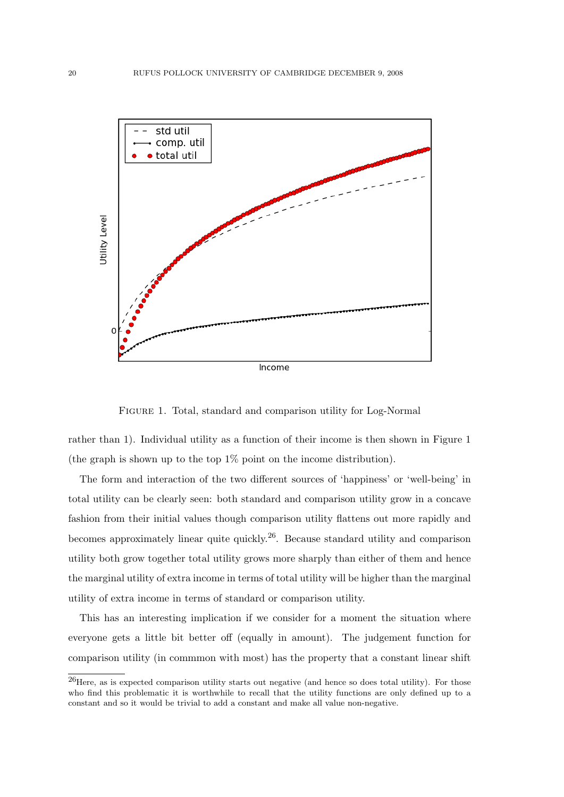

Figure 1. Total, standard and comparison utility for Log-Normal

rather than 1). Individual utility as a function of their income is then shown in Figure 1 (the graph is shown up to the top 1% point on the income distribution).

The form and interaction of the two different sources of 'happiness' or 'well-being' in total utility can be clearly seen: both standard and comparison utility grow in a concave fashion from their initial values though comparison utility flattens out more rapidly and becomes approximately linear quite quickly.26. Because standard utility and comparison utility both grow together total utility grows more sharply than either of them and hence the marginal utility of extra income in terms of total utility will be higher than the marginal utility of extra income in terms of standard or comparison utility.

This has an interesting implication if we consider for a moment the situation where everyone gets a little bit better off (equally in amount). The judgement function for comparison utility (in commmon with most) has the property that a constant linear shift

 $^{26}$ Here, as is expected comparison utility starts out negative (and hence so does total utility). For those who find this problematic it is worthwhile to recall that the utility functions are only defined up to a constant and so it would be trivial to add a constant and make all value non-negative.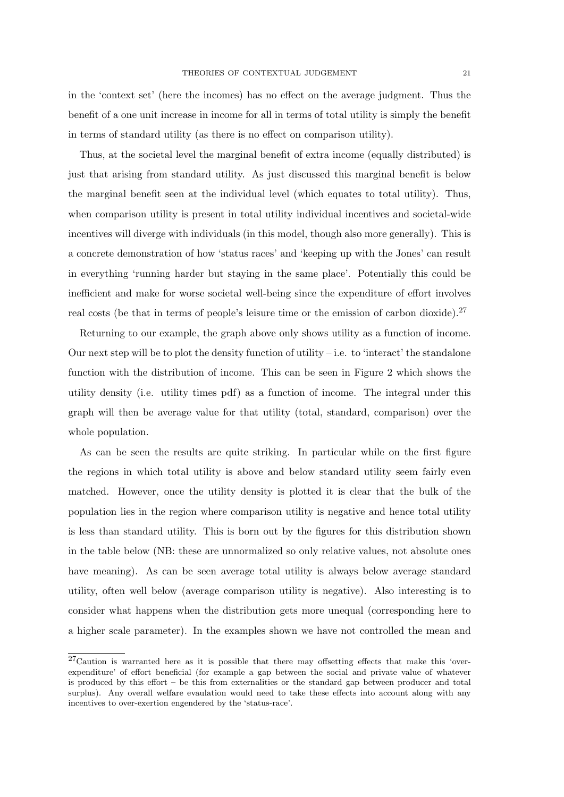in the 'context set' (here the incomes) has no effect on the average judgment. Thus the benefit of a one unit increase in income for all in terms of total utility is simply the benefit in terms of standard utility (as there is no effect on comparison utility).

Thus, at the societal level the marginal benefit of extra income (equally distributed) is just that arising from standard utility. As just discussed this marginal benefit is below the marginal benefit seen at the individual level (which equates to total utility). Thus, when comparison utility is present in total utility individual incentives and societal-wide incentives will diverge with individuals (in this model, though also more generally). This is a concrete demonstration of how 'status races' and 'keeping up with the Jones' can result in everything 'running harder but staying in the same place'. Potentially this could be inefficient and make for worse societal well-being since the expenditure of effort involves real costs (be that in terms of people's leisure time or the emission of carbon dioxide).<sup>27</sup>

Returning to our example, the graph above only shows utility as a function of income. Our next step will be to plot the density function of utility – i.e. to 'interact' the standalone function with the distribution of income. This can be seen in Figure 2 which shows the utility density (i.e. utility times pdf) as a function of income. The integral under this graph will then be average value for that utility (total, standard, comparison) over the whole population.

As can be seen the results are quite striking. In particular while on the first figure the regions in which total utility is above and below standard utility seem fairly even matched. However, once the utility density is plotted it is clear that the bulk of the population lies in the region where comparison utility is negative and hence total utility is less than standard utility. This is born out by the figures for this distribution shown in the table below (NB: these are unnormalized so only relative values, not absolute ones have meaning). As can be seen average total utility is always below average standard utility, often well below (average comparison utility is negative). Also interesting is to consider what happens when the distribution gets more unequal (corresponding here to a higher scale parameter). In the examples shown we have not controlled the mean and

<sup>27</sup>Caution is warranted here as it is possible that there may offsetting effects that make this 'overexpenditure' of effort beneficial (for example a gap between the social and private value of whatever is produced by this effort – be this from externalities or the standard gap between producer and total surplus). Any overall welfare evaulation would need to take these effects into account along with any incentives to over-exertion engendered by the 'status-race'.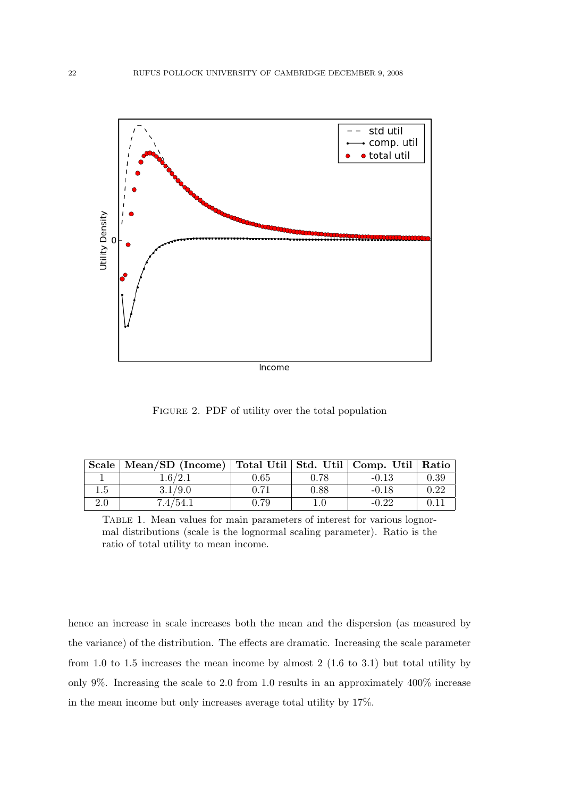

FIGURE 2. PDF of utility over the total population

|     | Scale   Mean/SD (Income)   Total Util   Std. Util   Comp. Util   Ratio |      |      |         |      |
|-----|------------------------------------------------------------------------|------|------|---------|------|
|     | 1.6/2.1                                                                | 0.65 | 0.78 | $-0.13$ | 0.39 |
| 1.5 | 3.1/9.0                                                                | 0.71 | 0.88 | $-0.18$ | 0.22 |
| 2.0 | 7.4/54.1                                                               | 0.79 | 1.0  | $-0.22$ | 0.11 |

Table 1. Mean values for main parameters of interest for various lognormal distributions (scale is the lognormal scaling parameter). Ratio is the ratio of total utility to mean income.

hence an increase in scale increases both the mean and the dispersion (as measured by the variance) of the distribution. The effects are dramatic. Increasing the scale parameter from 1.0 to 1.5 increases the mean income by almost 2 (1.6 to 3.1) but total utility by only 9%. Increasing the scale to 2.0 from 1.0 results in an approximately 400% increase in the mean income but only increases average total utility by 17%.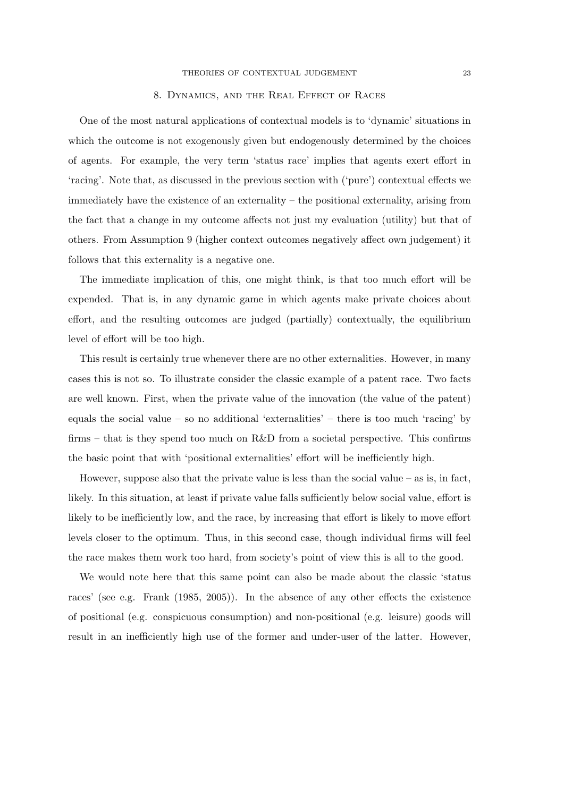#### 8. Dynamics, and the Real Effect of Races

One of the most natural applications of contextual models is to 'dynamic' situations in which the outcome is not exogenously given but endogenously determined by the choices of agents. For example, the very term 'status race' implies that agents exert effort in 'racing'. Note that, as discussed in the previous section with ('pure') contextual effects we immediately have the existence of an externality – the positional externality, arising from the fact that a change in my outcome affects not just my evaluation (utility) but that of others. From Assumption 9 (higher context outcomes negatively affect own judgement) it follows that this externality is a negative one.

The immediate implication of this, one might think, is that too much effort will be expended. That is, in any dynamic game in which agents make private choices about effort, and the resulting outcomes are judged (partially) contextually, the equilibrium level of effort will be too high.

This result is certainly true whenever there are no other externalities. However, in many cases this is not so. To illustrate consider the classic example of a patent race. Two facts are well known. First, when the private value of the innovation (the value of the patent) equals the social value – so no additional 'externalities' – there is too much 'racing' by firms – that is they spend too much on  $R\&D$  from a societal perspective. This confirms the basic point that with 'positional externalities' effort will be inefficiently high.

However, suppose also that the private value is less than the social value  $-$  as is, in fact, likely. In this situation, at least if private value falls sufficiently below social value, effort is likely to be inefficiently low, and the race, by increasing that effort is likely to move effort levels closer to the optimum. Thus, in this second case, though individual firms will feel the race makes them work too hard, from society's point of view this is all to the good.

We would note here that this same point can also be made about the classic 'status races' (see e.g. Frank (1985, 2005)). In the absence of any other effects the existence of positional (e.g. conspicuous consumption) and non-positional (e.g. leisure) goods will result in an inefficiently high use of the former and under-user of the latter. However,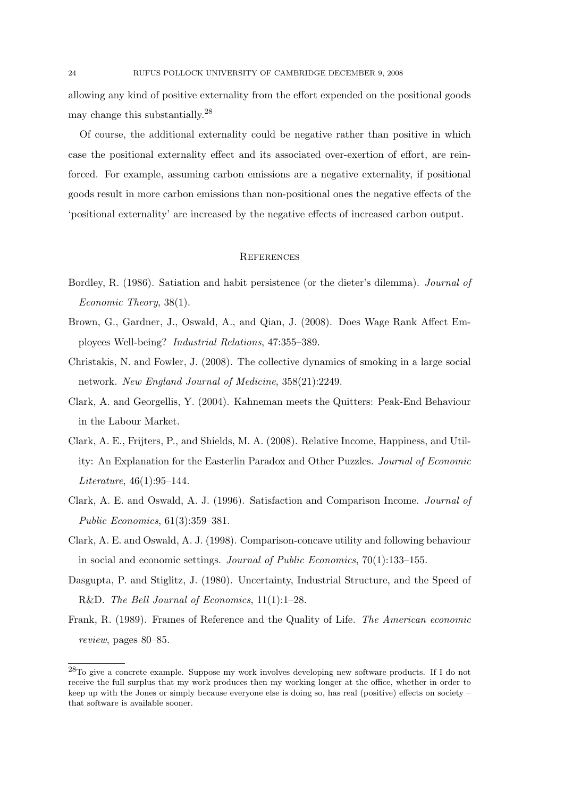allowing any kind of positive externality from the effort expended on the positional goods may change this substantially.<sup>28</sup>

Of course, the additional externality could be negative rather than positive in which case the positional externality effect and its associated over-exertion of effort, are reinforced. For example, assuming carbon emissions are a negative externality, if positional goods result in more carbon emissions than non-positional ones the negative effects of the 'positional externality' are increased by the negative effects of increased carbon output.

### **REFERENCES**

- Bordley, R. (1986). Satiation and habit persistence (or the dieter's dilemma). Journal of Economic Theory, 38(1).
- Brown, G., Gardner, J., Oswald, A., and Qian, J. (2008). Does Wage Rank Affect Employees Well-being? Industrial Relations, 47:355–389.
- Christakis, N. and Fowler, J. (2008). The collective dynamics of smoking in a large social network. New England Journal of Medicine, 358(21):2249.
- Clark, A. and Georgellis, Y. (2004). Kahneman meets the Quitters: Peak-End Behaviour in the Labour Market.
- Clark, A. E., Frijters, P., and Shields, M. A. (2008). Relative Income, Happiness, and Utility: An Explanation for the Easterlin Paradox and Other Puzzles. Journal of Economic Literature, 46(1):95–144.
- Clark, A. E. and Oswald, A. J. (1996). Satisfaction and Comparison Income. Journal of Public Economics, 61(3):359–381.
- Clark, A. E. and Oswald, A. J. (1998). Comparison-concave utility and following behaviour in social and economic settings. Journal of Public Economics, 70(1):133–155.
- Dasgupta, P. and Stiglitz, J. (1980). Uncertainty, Industrial Structure, and the Speed of R&D. The Bell Journal of Economics, 11(1):1–28.
- Frank, R. (1989). Frames of Reference and the Quality of Life. The American economic review, pages 80–85.

<sup>28</sup>To give a concrete example. Suppose my work involves developing new software products. If I do not receive the full surplus that my work produces then my working longer at the office, whether in order to keep up with the Jones or simply because everyone else is doing so, has real (positive) effects on society – that software is available sooner.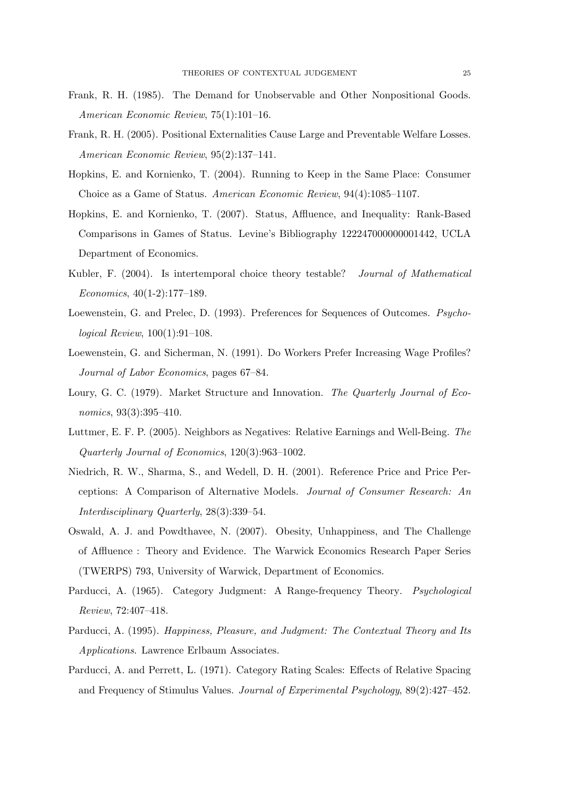- Frank, R. H. (1985). The Demand for Unobservable and Other Nonpositional Goods. American Economic Review, 75(1):101–16.
- Frank, R. H. (2005). Positional Externalities Cause Large and Preventable Welfare Losses. American Economic Review, 95(2):137–141.
- Hopkins, E. and Kornienko, T. (2004). Running to Keep in the Same Place: Consumer Choice as a Game of Status. American Economic Review, 94(4):1085–1107.
- Hopkins, E. and Kornienko, T. (2007). Status, Affluence, and Inequality: Rank-Based Comparisons in Games of Status. Levine's Bibliography 122247000000001442, UCLA Department of Economics.
- Kubler, F. (2004). Is intertemporal choice theory testable? Journal of Mathematical Economics, 40(1-2):177–189.
- Loewenstein, G. and Prelec, D. (1993). Preferences for Sequences of Outcomes. Psychological Review, 100(1):91–108.
- Loewenstein, G. and Sicherman, N. (1991). Do Workers Prefer Increasing Wage Profiles? Journal of Labor Economics, pages 67–84.
- Loury, G. C. (1979). Market Structure and Innovation. The Quarterly Journal of Economics, 93(3):395-410.
- Luttmer, E. F. P. (2005). Neighbors as Negatives: Relative Earnings and Well-Being. The Quarterly Journal of Economics, 120(3):963–1002.
- Niedrich, R. W., Sharma, S., and Wedell, D. H. (2001). Reference Price and Price Perceptions: A Comparison of Alternative Models. Journal of Consumer Research: An Interdisciplinary Quarterly, 28(3):339–54.
- Oswald, A. J. and Powdthavee, N. (2007). Obesity, Unhappiness, and The Challenge of Affluence : Theory and Evidence. The Warwick Economics Research Paper Series (TWERPS) 793, University of Warwick, Department of Economics.
- Parducci, A. (1965). Category Judgment: A Range-frequency Theory. Psychological Review, 72:407–418.
- Parducci, A. (1995). Happiness, Pleasure, and Judgment: The Contextual Theory and Its Applications. Lawrence Erlbaum Associates.
- Parducci, A. and Perrett, L. (1971). Category Rating Scales: Effects of Relative Spacing and Frequency of Stimulus Values. Journal of Experimental Psychology, 89(2):427–452.